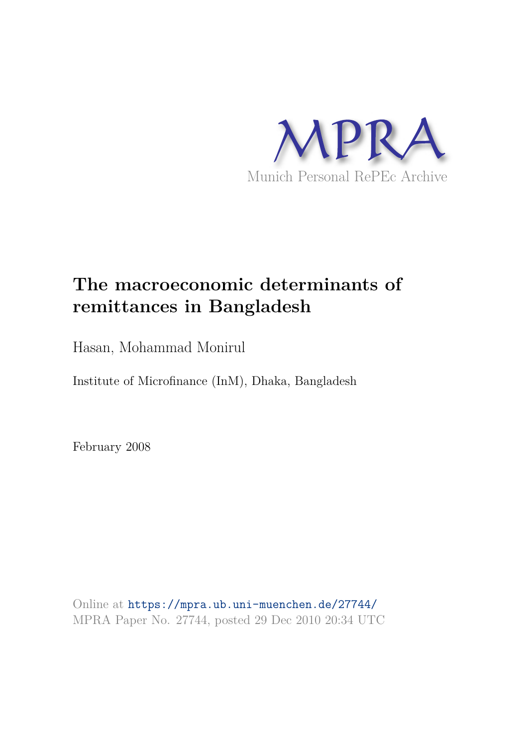

# **The macroeconomic determinants of remittances in Bangladesh**

Hasan, Mohammad Monirul

Institute of Microfinance (InM), Dhaka, Bangladesh

February 2008

Online at https://mpra.ub.uni-muenchen.de/27744/ MPRA Paper No. 27744, posted 29 Dec 2010 20:34 UTC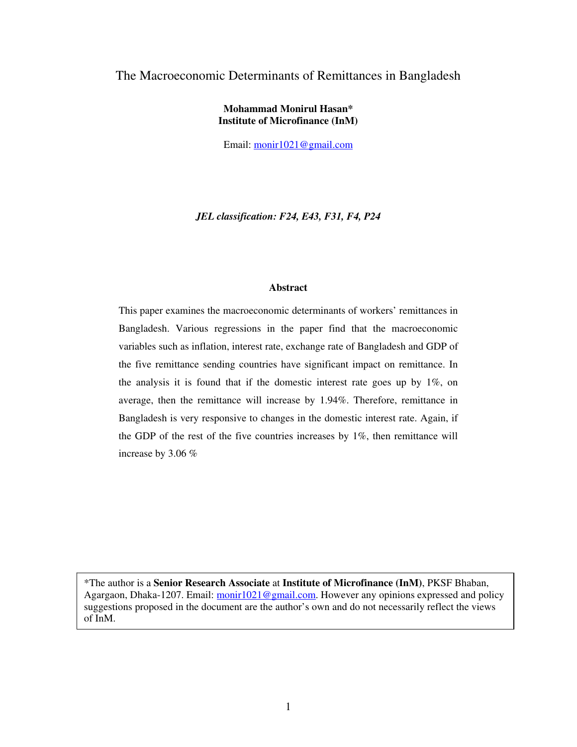## The Macroeconomic Determinants of Remittances in Bangladesh

## **Mohammad Monirul Hasan\* Institute of Microfinance (InM)**

Email: monir1021@gmail.com

*JEL classification: F24, E43, F31, F4, P24* 

#### **Abstract**

This paper examines the macroeconomic determinants of workers' remittances in Bangladesh. Various regressions in the paper find that the macroeconomic variables such as inflation, interest rate, exchange rate of Bangladesh and GDP of the five remittance sending countries have significant impact on remittance. In the analysis it is found that if the domestic interest rate goes up by 1%, on average, then the remittance will increase by 1.94%. Therefore, remittance in Bangladesh is very responsive to changes in the domestic interest rate. Again, if the GDP of the rest of the five countries increases by 1%, then remittance will increase by 3.06 %

\*The author is a **Senior Research Associate** at **Institute of Microfinance (InM)**, PKSF Bhaban, Agargaon, Dhaka-1207. Email: monir1021@gmail.com. However any opinions expressed and policy suggestions proposed in the document are the author's own and do not necessarily reflect the views of InM.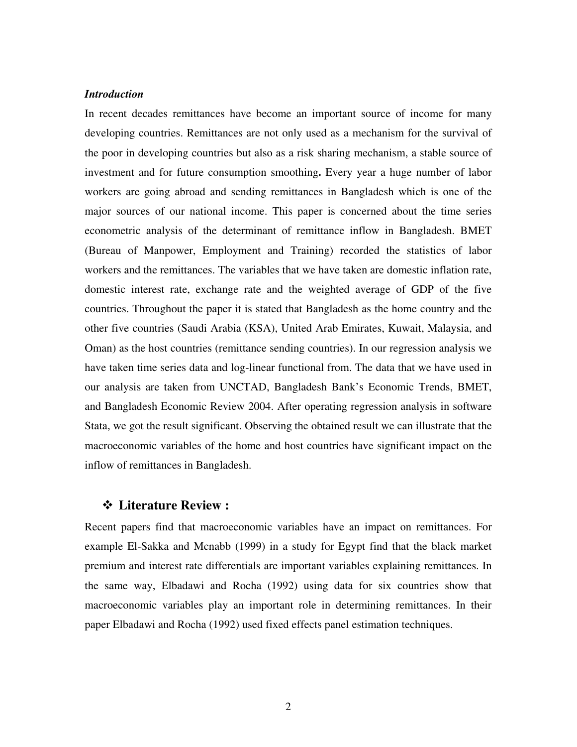## *Introduction*

In recent decades remittances have become an important source of income for many developing countries. Remittances are not only used as a mechanism for the survival of the poor in developing countries but also as a risk sharing mechanism, a stable source of investment and for future consumption smoothing**.** Every year a huge number of labor workers are going abroad and sending remittances in Bangladesh which is one of the major sources of our national income. This paper is concerned about the time series econometric analysis of the determinant of remittance inflow in Bangladesh. BMET (Bureau of Manpower, Employment and Training) recorded the statistics of labor workers and the remittances. The variables that we have taken are domestic inflation rate, domestic interest rate, exchange rate and the weighted average of GDP of the five countries. Throughout the paper it is stated that Bangladesh as the home country and the other five countries (Saudi Arabia (KSA), United Arab Emirates, Kuwait, Malaysia, and Oman) as the host countries (remittance sending countries). In our regression analysis we have taken time series data and log-linear functional from. The data that we have used in our analysis are taken from UNCTAD, Bangladesh Bank's Economic Trends, BMET, and Bangladesh Economic Review 2004. After operating regression analysis in software Stata, we got the result significant. Observing the obtained result we can illustrate that the macroeconomic variables of the home and host countries have significant impact on the inflow of remittances in Bangladesh.

## **Literature Review :**

Recent papers find that macroeconomic variables have an impact on remittances. For example El-Sakka and Mcnabb (1999) in a study for Egypt find that the black market premium and interest rate differentials are important variables explaining remittances. In the same way, Elbadawi and Rocha (1992) using data for six countries show that macroeconomic variables play an important role in determining remittances. In their paper Elbadawi and Rocha (1992) used fixed effects panel estimation techniques.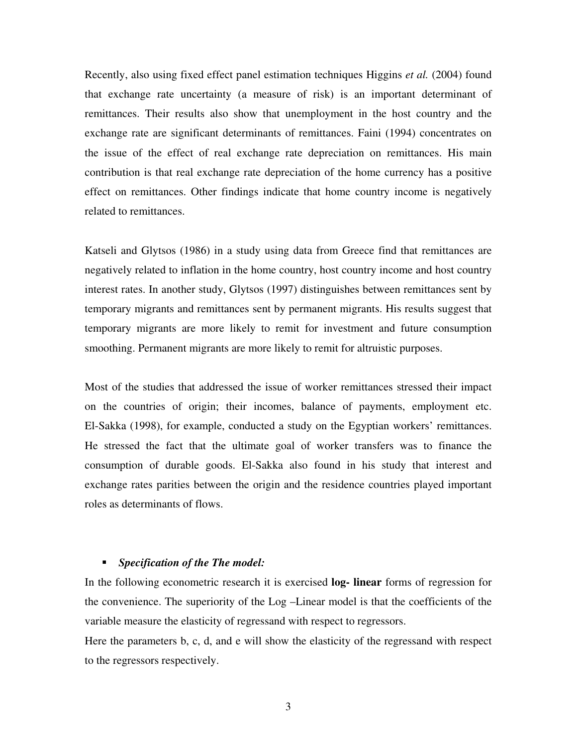Recently, also using fixed effect panel estimation techniques Higgins *et al.* (2004) found that exchange rate uncertainty (a measure of risk) is an important determinant of remittances. Their results also show that unemployment in the host country and the exchange rate are significant determinants of remittances. Faini (1994) concentrates on the issue of the effect of real exchange rate depreciation on remittances. His main contribution is that real exchange rate depreciation of the home currency has a positive effect on remittances. Other findings indicate that home country income is negatively related to remittances.

Katseli and Glytsos (1986) in a study using data from Greece find that remittances are negatively related to inflation in the home country, host country income and host country interest rates. In another study, Glytsos (1997) distinguishes between remittances sent by temporary migrants and remittances sent by permanent migrants. His results suggest that temporary migrants are more likely to remit for investment and future consumption smoothing. Permanent migrants are more likely to remit for altruistic purposes.

Most of the studies that addressed the issue of worker remittances stressed their impact on the countries of origin; their incomes, balance of payments, employment etc. El-Sakka (1998), for example, conducted a study on the Egyptian workers' remittances. He stressed the fact that the ultimate goal of worker transfers was to finance the consumption of durable goods. El-Sakka also found in his study that interest and exchange rates parities between the origin and the residence countries played important roles as determinants of flows.

#### *Specification of the The model:*

In the following econometric research it is exercised **log- linear** forms of regression for the convenience. The superiority of the Log –Linear model is that the coefficients of the variable measure the elasticity of regressand with respect to regressors.

Here the parameters b, c, d, and e will show the elasticity of the regressand with respect to the regressors respectively.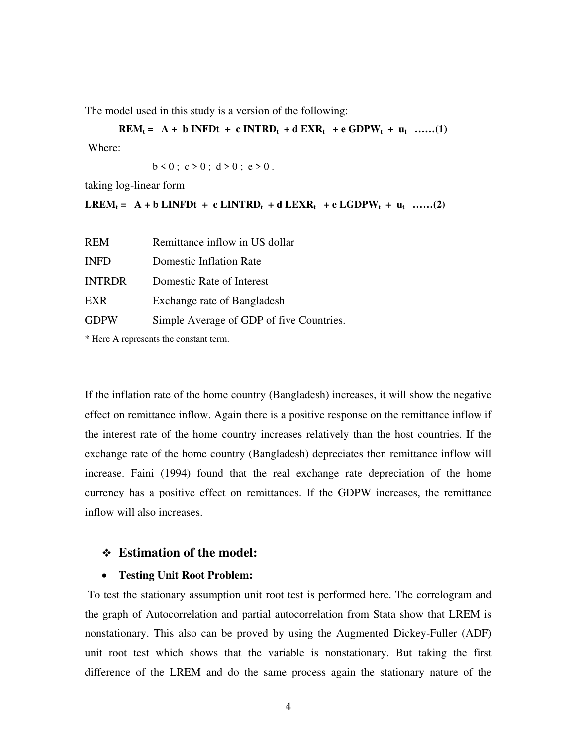The model used in this study is a version of the following:

**REM**<sub>t</sub> = A + b INFDt + c INTRD<sub>t</sub> + d EXR<sub>t</sub> + e GDPW<sub>t</sub> + u<sub>t</sub> ......(1)

Where:

 $b < 0$ ;  $c > 0$ ;  $d > 0$ ;  $e > 0$ .

taking log-linear form

**LREM**<sub>t</sub> = A + b LINFDt + c LINTRD<sub>t</sub> + d LEXR<sub>t</sub> + e LGDPW<sub>t</sub> + u<sub>t</sub> ......(2)

| <b>REM</b>    | Remittance inflow in US dollar           |
|---------------|------------------------------------------|
| <b>INFD</b>   | Domestic Inflation Rate                  |
| <b>INTRDR</b> | Domestic Rate of Interest                |
| EXR           | Exchange rate of Bangladesh              |
| <b>GDPW</b>   | Simple Average of GDP of five Countries. |

\* Here A represents the constant term.

If the inflation rate of the home country (Bangladesh) increases, it will show the negative effect on remittance inflow. Again there is a positive response on the remittance inflow if the interest rate of the home country increases relatively than the host countries. If the exchange rate of the home country (Bangladesh) depreciates then remittance inflow will increase. Faini (1994) found that the real exchange rate depreciation of the home currency has a positive effect on remittances. If the GDPW increases, the remittance inflow will also increases.

# **Estimation of the model:**

## • **Testing Unit Root Problem:**

 To test the stationary assumption unit root test is performed here. The correlogram and the graph of Autocorrelation and partial autocorrelation from Stata show that LREM is nonstationary. This also can be proved by using the Augmented Dickey-Fuller (ADF) unit root test which shows that the variable is nonstationary. But taking the first difference of the LREM and do the same process again the stationary nature of the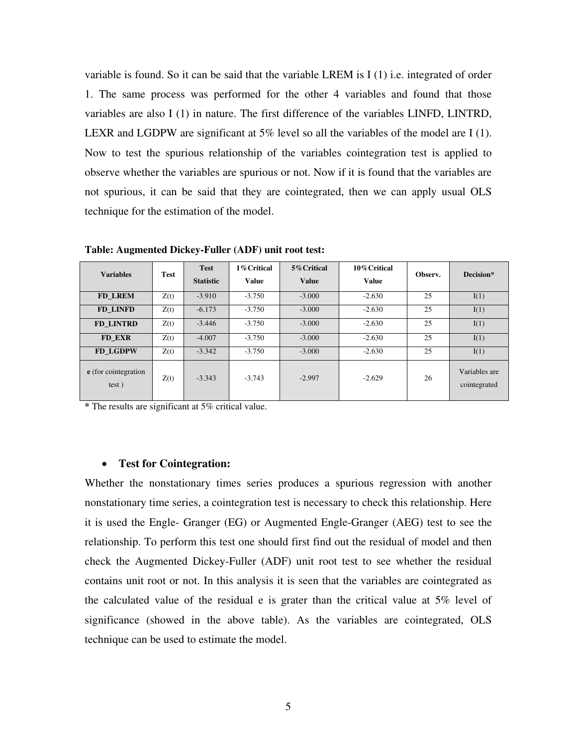variable is found. So it can be said that the variable LREM is  $I(1)$  i.e. integrated of order 1. The same process was performed for the other 4 variables and found that those variables are also I (1) in nature. The first difference of the variables LINFD, LINTRD, LEXR and LGDPW are significant at  $5\%$  level so all the variables of the model are I (1). Now to test the spurious relationship of the variables cointegration test is applied to observe whether the variables are spurious or not. Now if it is found that the variables are not spurious, it can be said that they are cointegrated, then we can apply usual OLS technique for the estimation of the model.

| <b>Variables</b>              | <b>Test</b> | <b>Test</b><br><b>Statistic</b> | 1% Critical<br>Value | 5% Critical<br><b>Value</b> | 10% Critical<br><b>Value</b> | Observ. | Decision*                     |
|-------------------------------|-------------|---------------------------------|----------------------|-----------------------------|------------------------------|---------|-------------------------------|
| FD LREM                       | Z(t)        | $-3.910$                        | $-3.750$             | $-3.000$                    | $-2.630$                     | 25      | I(1)                          |
| FD LINFD                      | Z(t)        | $-6.173$                        | $-3.750$             | $-3.000$                    | $-2.630$                     | 25      | I(1)                          |
| FD LINTRD                     | Z(t)        | $-3.446$                        | $-3.750$             | $-3.000$                    | $-2.630$                     | 25      | I(1)                          |
| FD EXR                        | Z(t)        | $-4.007$                        | $-3.750$             | $-3.000$                    | $-2.630$                     | 25      | I(1)                          |
| <b>FD LGDPW</b>               | Z(t)        | $-3.342$                        | $-3.750$             | $-3.000$                    | $-2.630$                     | 25      | I(1)                          |
| e (for cointegration<br>test) | Z(t)        | $-3.343$                        | $-3.743$             | $-2.997$                    | $-2.629$                     | 26      | Variables are<br>cointegrated |

**Table: Augmented Dickey-Fuller (ADF) unit root test:**

**\*** The results are significant at 5% critical value.

#### • **Test for Cointegration:**

Whether the nonstationary times series produces a spurious regression with another nonstationary time series, a cointegration test is necessary to check this relationship. Here it is used the Engle- Granger (EG) or Augmented Engle-Granger (AEG) test to see the relationship. To perform this test one should first find out the residual of model and then check the Augmented Dickey-Fuller (ADF) unit root test to see whether the residual contains unit root or not. In this analysis it is seen that the variables are cointegrated as the calculated value of the residual e is grater than the critical value at 5% level of significance (showed in the above table). As the variables are cointegrated, OLS technique can be used to estimate the model.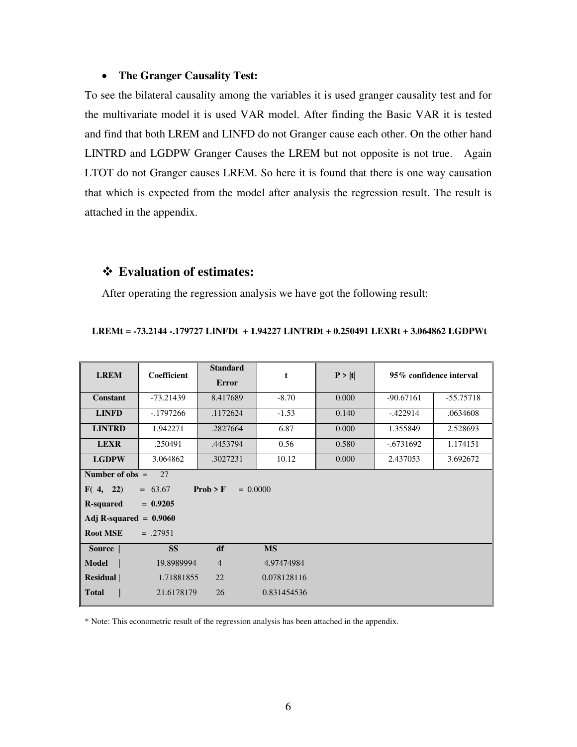#### • **The Granger Causality Test:**

To see the bilateral causality among the variables it is used granger causality test and for the multivariate model it is used VAR model. After finding the Basic VAR it is tested and find that both LREM and LINFD do not Granger cause each other. On the other hand LINTRD and LGDPW Granger Causes the LREM but not opposite is not true. Again LTOT do not Granger causes LREM. So here it is found that there is one way causation that which is expected from the model after analysis the regression result. The result is attached in the appendix.

# **Evaluation of estimates:**

After operating the regression analysis we have got the following result:

| <b>LREM</b>                                     | <b>Coefficient</b> | <b>Standard</b><br><b>Error</b> | t           | P >  t |             | 95% confidence interval |  |  |  |  |  |
|-------------------------------------------------|--------------------|---------------------------------|-------------|--------|-------------|-------------------------|--|--|--|--|--|
| <b>Constant</b>                                 | $-73.21439$        | 8.417689                        | $-8.70$     | 0.000  | $-90.67161$ | $-55.75718$             |  |  |  |  |  |
| <b>LINFD</b>                                    | $-1797266$         | .1172624                        | $-1.53$     | 0.140  | $-.422914$  | .0634608                |  |  |  |  |  |
| <b>LINTRD</b>                                   | 1.942271           | .2827664                        | 6.87        | 0.000  | 1.355849    | 2.528693                |  |  |  |  |  |
| <b>LEXR</b>                                     | .250491            | .4453794                        | 0.56        | 0.580  | $-.6731692$ | 1.174151                |  |  |  |  |  |
| <b>LGDPW</b>                                    | 3.064862           | .3027231                        | 10.12       | 0.000  | 2.437053    | 3.692672                |  |  |  |  |  |
| Number of $obs =$<br>27                         |                    |                                 |             |        |             |                         |  |  |  |  |  |
| Prob > F<br>F(4, 22)<br>$= 63.67$<br>$= 0.0000$ |                    |                                 |             |        |             |                         |  |  |  |  |  |
| $= 0.9205$<br><b>R-squared</b>                  |                    |                                 |             |        |             |                         |  |  |  |  |  |
| Adj R-squared $= 0.9060$                        |                    |                                 |             |        |             |                         |  |  |  |  |  |
| <b>Root MSE</b>                                 | $=.27951$          |                                 |             |        |             |                         |  |  |  |  |  |
| Source                                          | <b>SS</b>          | df                              | <b>MS</b>   |        |             |                         |  |  |  |  |  |
| <b>Model</b>                                    | 19.8989994         | $\overline{4}$                  | 4.97474984  |        |             |                         |  |  |  |  |  |
| Residual                                        | 1.71881855         | 22                              | 0.078128116 |        |             |                         |  |  |  |  |  |
| <b>Total</b>                                    | 21.6178179         | 26                              | 0.831454536 |        |             |                         |  |  |  |  |  |

#### **LREMt = -73.2144 -.179727 LINFDt + 1.94227 LINTRDt + 0.250491 LEXRt + 3.064862 LGDPWt**

\* Note: This econometric result of the regression analysis has been attached in the appendix.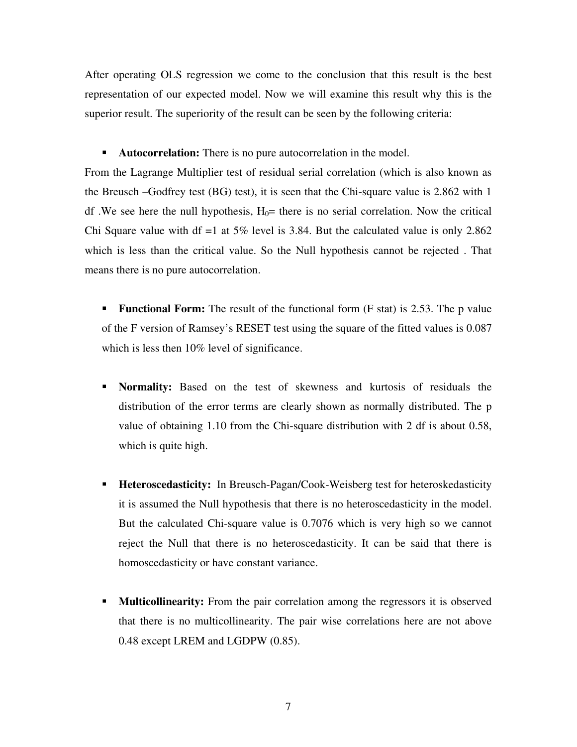After operating OLS regression we come to the conclusion that this result is the best representation of our expected model. Now we will examine this result why this is the superior result. The superiority of the result can be seen by the following criteria:

**Autocorrelation:** There is no pure autocorrelation in the model.

From the Lagrange Multiplier test of residual serial correlation (which is also known as the Breusch –Godfrey test (BG) test), it is seen that the Chi-square value is 2.862 with 1 df. We see here the null hypothesis,  $H_0$ = there is no serial correlation. Now the critical Chi Square value with df  $=1$  at 5% level is 3.84. But the calculated value is only 2.862 which is less than the critical value. So the Null hypothesis cannot be rejected . That means there is no pure autocorrelation.

**Functional Form:** The result of the functional form (F stat) is 2.53. The p value of the F version of Ramsey's RESET test using the square of the fitted values is 0.087 which is less then 10% level of significance.

- **Normality:** Based on the test of skewness and kurtosis of residuals the distribution of the error terms are clearly shown as normally distributed. The p value of obtaining 1.10 from the Chi-square distribution with 2 df is about 0.58, which is quite high.
- **Heteroscedasticity:** In Breusch-Pagan/Cook-Weisberg test for heteroskedasticity it is assumed the Null hypothesis that there is no heteroscedasticity in the model. But the calculated Chi-square value is 0.7076 which is very high so we cannot reject the Null that there is no heteroscedasticity. It can be said that there is homoscedasticity or have constant variance.
- **Multicollinearity:** From the pair correlation among the regressors it is observed that there is no multicollinearity. The pair wise correlations here are not above 0.48 except LREM and LGDPW (0.85).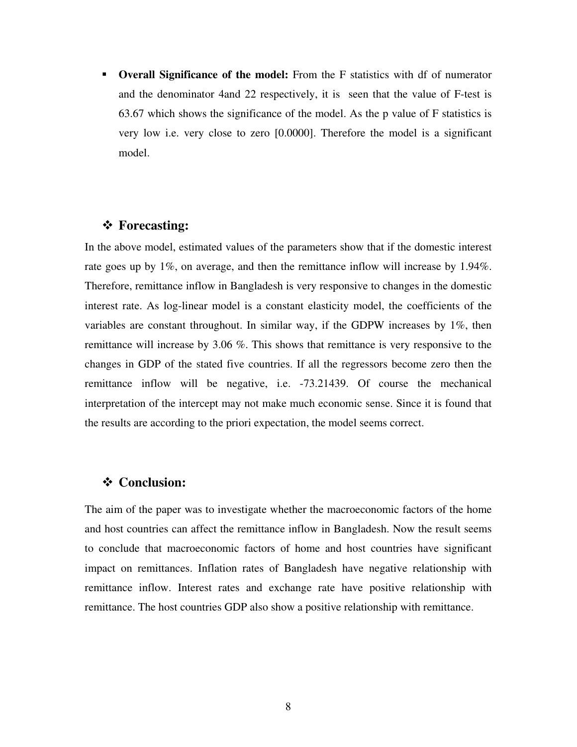**• Overall Significance of the model:** From the F statistics with df of numerator and the denominator 4and 22 respectively, it is seen that the value of F-test is 63.67 which shows the significance of the model. As the p value of F statistics is very low i.e. very close to zero [0.0000]. Therefore the model is a significant model.

# **Forecasting:**

In the above model, estimated values of the parameters show that if the domestic interest rate goes up by 1%, on average, and then the remittance inflow will increase by 1.94%. Therefore, remittance inflow in Bangladesh is very responsive to changes in the domestic interest rate. As log-linear model is a constant elasticity model, the coefficients of the variables are constant throughout. In similar way, if the GDPW increases by 1%, then remittance will increase by 3.06 %. This shows that remittance is very responsive to the changes in GDP of the stated five countries. If all the regressors become zero then the remittance inflow will be negative, i.e. -73.21439. Of course the mechanical interpretation of the intercept may not make much economic sense. Since it is found that the results are according to the priori expectation, the model seems correct.

# **Conclusion:**

The aim of the paper was to investigate whether the macroeconomic factors of the home and host countries can affect the remittance inflow in Bangladesh. Now the result seems to conclude that macroeconomic factors of home and host countries have significant impact on remittances. Inflation rates of Bangladesh have negative relationship with remittance inflow. Interest rates and exchange rate have positive relationship with remittance. The host countries GDP also show a positive relationship with remittance.